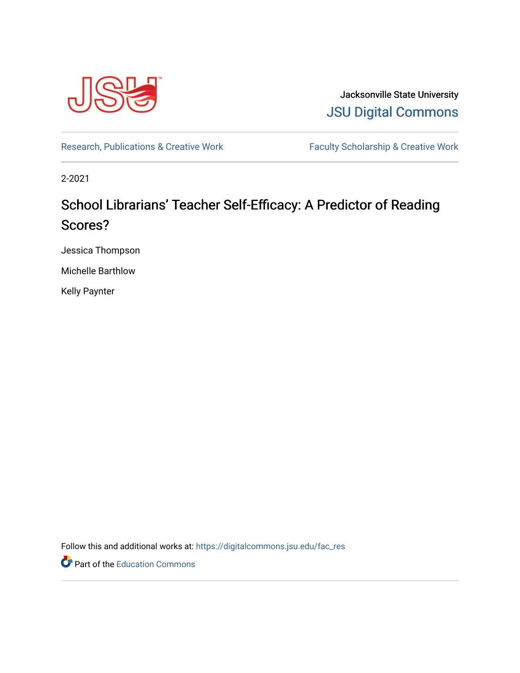

Jacksonville State University [JSU Digital Commons](https://digitalcommons.jsu.edu/) 

[Research, Publications & Creative Work](https://digitalcommons.jsu.edu/fac_res) Faculty Scholarship & Creative Work

2-2021

# School Librarians' Teacher Self-Efficacy: A Predictor of Reading Scores?

Jessica Thompson

Michelle Barthlow

Kelly Paynter

Follow this and additional works at: [https://digitalcommons.jsu.edu/fac\\_res](https://digitalcommons.jsu.edu/fac_res?utm_source=digitalcommons.jsu.edu%2Ffac_res%2F89&utm_medium=PDF&utm_campaign=PDFCoverPages) 

Part of the [Education Commons](http://network.bepress.com/hgg/discipline/784?utm_source=digitalcommons.jsu.edu%2Ffac_res%2F89&utm_medium=PDF&utm_campaign=PDFCoverPages)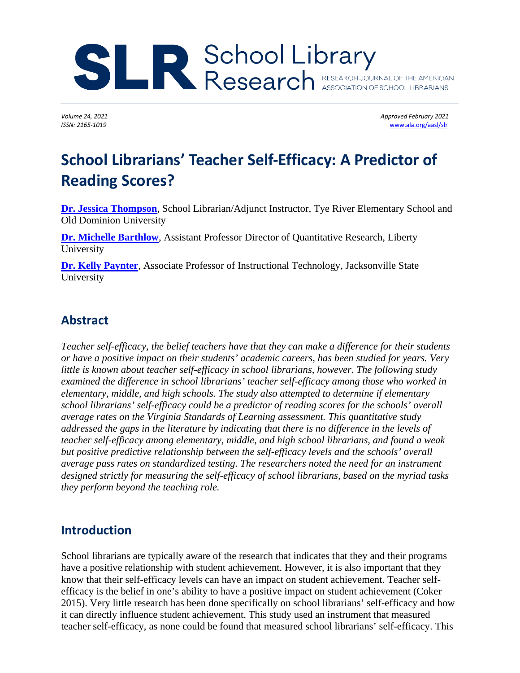# Research RESEARCH JOURNAL OF THE AMERICAN

Volume 24, 2021 **Approved February** 2021 *ISSN: 2165-1019* [www.ala.org/aasl/slr](http://www.ala.org/aasl/slr)

# **School Librarians' Teacher Self-Efficacy: A Predictor of Reading Scores?**

**[Dr. Jessica Thompson](mailto:jlthompson@liberty.edu)**, School Librarian/Adjunct Instructor, Tye River Elementary School and Old Dominion University

**[Dr. Michelle Barthlow](mailto:mjbarthlow@liberty.edu)**, Assistant Professor Director of Quantitative Research, Liberty University

**[Dr. Kelly Paynter](mailto:kpaynter@jsu.edu)**, Associate Professor of Instructional Technology, Jacksonville State University

# **Abstract**

*Teacher self-efficacy, the belief teachers have that they can make a difference for their students or have a positive impact on their students' academic careers, has been studied for years. Very little is known about teacher self-efficacy in school librarians, however. The following study examined the difference in school librarians' teacher self-efficacy among those who worked in elementary, middle, and high schools. The study also attempted to determine if elementary school librarians' self-efficacy could be a predictor of reading scores for the schools' overall average rates on the Virginia Standards of Learning assessment. This quantitative study addressed the gaps in the literature by indicating that there is no difference in the levels of teacher self-efficacy among elementary, middle, and high school librarians, and found a weak but positive predictive relationship between the self-efficacy levels and the schools' overall average pass rates on standardized testing. The researchers noted the need for an instrument designed strictly for measuring the self-efficacy of school librarians, based on the myriad tasks they perform beyond the teaching role.*

# **Introduction**

School librarians are typically aware of the research that indicates that they and their programs have a positive relationship with student achievement. However, it is also important that they know that their self-efficacy levels can have an impact on student achievement. Teacher selfefficacy is the belief in one's ability to have a positive impact on student achievement (Coker 2015). Very little research has been done specifically on school librarians' self-efficacy and how it can directly influence student achievement. This study used an instrument that measured teacher self-efficacy, as none could be found that measured school librarians' self-efficacy. This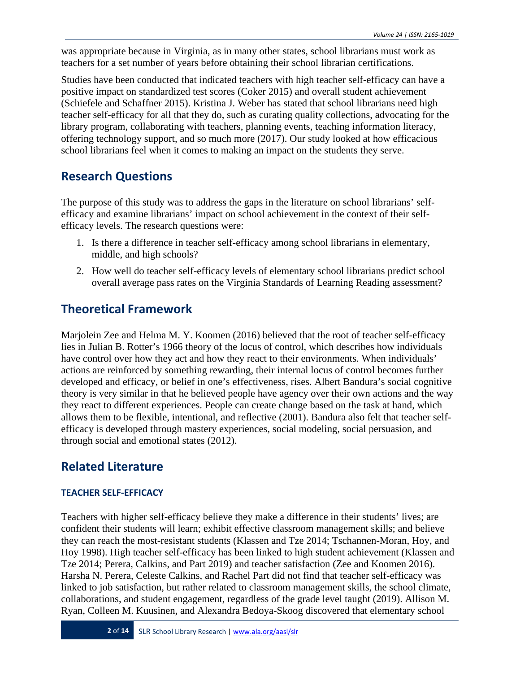was appropriate because in Virginia, as in many other states, school librarians must work as teachers for a set number of years before obtaining their school librarian certifications.

Studies have been conducted that indicated teachers with high teacher self-efficacy can have a positive impact on standardized test scores (Coker 2015) and overall student achievement (Schiefele and Schaffner 2015). Kristina J. Weber has stated that school librarians need high teacher self-efficacy for all that they do, such as curating quality collections, advocating for the library program, collaborating with teachers, planning events, teaching information literacy, offering technology support, and so much more (2017). Our study looked at how efficacious school librarians feel when it comes to making an impact on the students they serve.

# **Research Questions**

The purpose of this study was to address the gaps in the literature on school librarians' selfefficacy and examine librarians' impact on school achievement in the context of their selfefficacy levels. The research questions were:

- 1. Is there a difference in teacher self-efficacy among school librarians in elementary, middle, and high schools?
- 2. How well do teacher self-efficacy levels of elementary school librarians predict school overall average pass rates on the Virginia Standards of Learning Reading assessment?

# **Theoretical Framework**

Marjolein Zee and Helma M. Y. Koomen (2016) believed that the root of teacher self-efficacy lies in Julian B. Rotter's 1966 theory of the locus of control, which describes how individuals have control over how they act and how they react to their environments. When individuals' actions are reinforced by something rewarding, their internal locus of control becomes further developed and efficacy, or belief in one's effectiveness, rises. Albert Bandura's social cognitive theory is very similar in that he believed people have agency over their own actions and the way they react to different experiences. People can create change based on the task at hand, which allows them to be flexible, intentional, and reflective (2001). Bandura also felt that teacher selfefficacy is developed through mastery experiences, social modeling, social persuasion, and through social and emotional states (2012).

# **Related Literature**

#### **TEACHER SELF-EFFICACY**

Teachers with higher self-efficacy believe they make a difference in their students' lives; are confident their students will learn; exhibit effective classroom management skills; and believe they can reach the most-resistant students (Klassen and Tze 2014; Tschannen-Moran, Hoy, and Hoy 1998). High teacher self-efficacy has been linked to high student achievement (Klassen and Tze 2014; Perera, Calkins, and Part 2019) and teacher satisfaction (Zee and Koomen 2016). Harsha N. Perera, Celeste Calkins, and Rachel Part did not find that teacher self-efficacy was linked to job satisfaction, but rather related to classroom management skills, the school climate, collaborations, and student engagement, regardless of the grade level taught (2019). Allison M. Ryan, Colleen M. Kuusinen, and Alexandra Bedoya-Skoog discovered that elementary school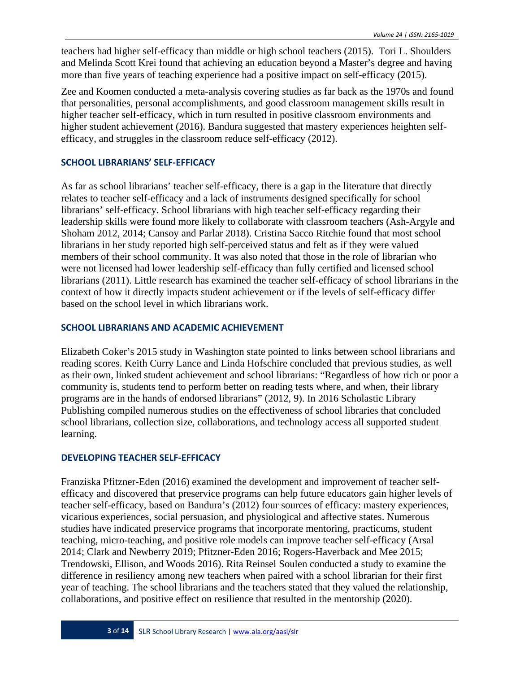teachers had higher self-efficacy than middle or high school teachers (2015). Tori L. Shoulders and Melinda Scott Krei found that achieving an education beyond a Master's degree and having more than five years of teaching experience had a positive impact on self-efficacy (2015).

Zee and Koomen conducted a meta-analysis covering studies as far back as the 1970s and found that personalities, personal accomplishments, and good classroom management skills result in higher teacher self-efficacy, which in turn resulted in positive classroom environments and higher student achievement (2016). Bandura suggested that mastery experiences heighten selfefficacy, and struggles in the classroom reduce self-efficacy (2012).

#### **SCHOOL LIBRARIANS' SELF-EFFICACY**

As far as school librarians' teacher self-efficacy, there is a gap in the literature that directly relates to teacher self-efficacy and a lack of instruments designed specifically for school librarians' self-efficacy. School librarians with high teacher self-efficacy regarding their leadership skills were found more likely to collaborate with classroom teachers (Ash-Argyle and Shoham 2012, 2014; Cansoy and Parlar 2018). Cristina Sacco Ritchie found that most school librarians in her study reported high self-perceived status and felt as if they were valued members of their school community. It was also noted that those in the role of librarian who were not licensed had lower leadership self-efficacy than fully certified and licensed school librarians (2011). Little research has examined the teacher self-efficacy of school librarians in the context of how it directly impacts student achievement or if the levels of self-efficacy differ based on the school level in which librarians work.

#### **SCHOOL LIBRARIANS AND ACADEMIC ACHIEVEMENT**

Elizabeth Coker's 2015 study in Washington state pointed to links between school librarians and reading scores. Keith Curry Lance and Linda Hofschire concluded that previous studies, as well as their own, linked student achievement and school librarians: "Regardless of how rich or poor a community is, students tend to perform better on reading tests where, and when, their library programs are in the hands of endorsed librarians" (2012, 9). In 2016 Scholastic Library Publishing compiled numerous studies on the effectiveness of school libraries that concluded school librarians, collection size, collaborations, and technology access all supported student learning.

#### **DEVELOPING TEACHER SELF-EFFICACY**

Franziska Pfitzner-Eden (2016) examined the development and improvement of teacher selfefficacy and discovered that preservice programs can help future educators gain higher levels of teacher self-efficacy, based on Bandura's (2012) four sources of efficacy: mastery experiences, vicarious experiences, social persuasion, and physiological and affective states. Numerous studies have indicated preservice programs that incorporate mentoring, practicums, student teaching, micro-teaching, and positive role models can improve teacher self-efficacy (Arsal 2014; Clark and Newberry 2019; Pfitzner-Eden 2016; Rogers-Haverback and Mee 2015; Trendowski, Ellison, and Woods 2016). Rita Reinsel Soulen conducted a study to examine the difference in resiliency among new teachers when paired with a school librarian for their first year of teaching. The school librarians and the teachers stated that they valued the relationship, collaborations, and positive effect on resilience that resulted in the mentorship (2020).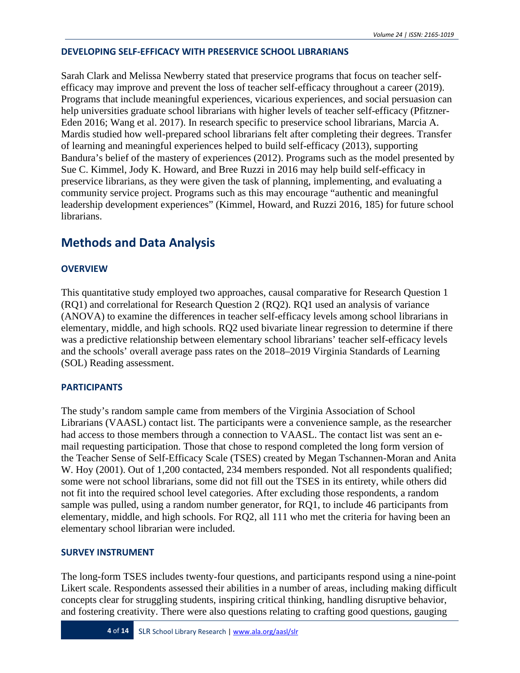#### **DEVELOPING SELF-EFFICACY WITH PRESERVICE SCHOOL LIBRARIANS**

Sarah Clark and Melissa Newberry stated that preservice programs that focus on teacher selfefficacy may improve and prevent the loss of teacher self-efficacy throughout a career (2019). Programs that include meaningful experiences, vicarious experiences, and social persuasion can help universities graduate school librarians with higher levels of teacher self-efficacy (Pfitzner-Eden 2016; Wang et al. 2017). In research specific to preservice school librarians, Marcia A. Mardis studied how well-prepared school librarians felt after completing their degrees. Transfer of learning and meaningful experiences helped to build self-efficacy (2013), supporting Bandura's belief of the mastery of experiences (2012). Programs such as the model presented by Sue C. Kimmel, Jody K. Howard, and Bree Ruzzi in 2016 may help build self-efficacy in preservice librarians, as they were given the task of planning, implementing, and evaluating a community service project. Programs such as this may encourage "authentic and meaningful leadership development experiences" (Kimmel, Howard, and Ruzzi 2016, 185) for future school librarians.

# **Methods and Data Analysis**

#### **OVERVIEW**

This quantitative study employed two approaches, causal comparative for Research Question 1 (RQ1) and correlational for Research Question 2 (RQ2). RQ1 used an analysis of variance (ANOVA) to examine the differences in teacher self-efficacy levels among school librarians in elementary, middle, and high schools. RQ2 used bivariate linear regression to determine if there was a predictive relationship between elementary school librarians' teacher self-efficacy levels and the schools' overall average pass rates on the 2018–2019 Virginia Standards of Learning (SOL) Reading assessment.

#### **PARTICIPANTS**

The study's random sample came from members of the Virginia Association of School Librarians (VAASL) contact list. The participants were a convenience sample, as the researcher had access to those members through a connection to VAASL. The contact list was sent an email requesting participation. Those that chose to respond completed the long form version of the Teacher Sense of Self-Efficacy Scale (TSES) created by Megan Tschannen-Moran and Anita W. Hoy (2001). Out of 1,200 contacted, 234 members responded. Not all respondents qualified; some were not school librarians, some did not fill out the TSES in its entirety, while others did not fit into the required school level categories. After excluding those respondents, a random sample was pulled, using a random number generator, for RQ1, to include 46 participants from elementary, middle, and high schools. For RQ2, all 111 who met the criteria for having been an elementary school librarian were included.

#### **SURVEY INSTRUMENT**

The long-form TSES includes twenty-four questions, and participants respond using a nine-point Likert scale. Respondents assessed their abilities in a number of areas, including making difficult concepts clear for struggling students, inspiring critical thinking, handling disruptive behavior, and fostering creativity. There were also questions relating to crafting good questions, gauging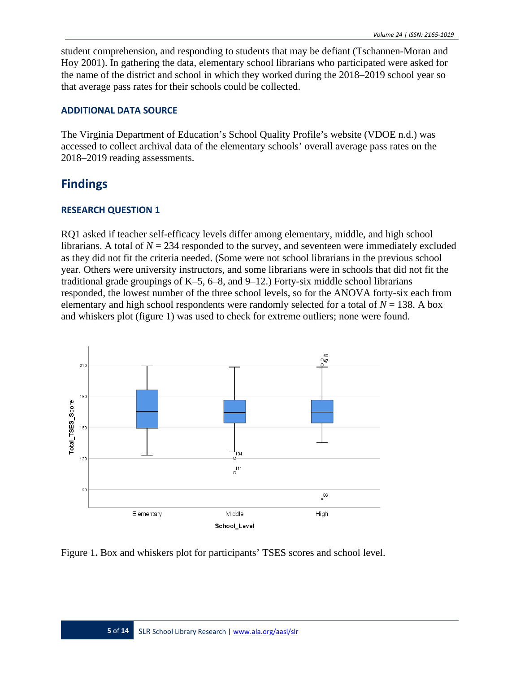student comprehension, and responding to students that may be defiant (Tschannen-Moran and Hoy 2001). In gathering the data, elementary school librarians who participated were asked for the name of the district and school in which they worked during the 2018–2019 school year so that average pass rates for their schools could be collected.

#### **ADDITIONAL DATA SOURCE**

The Virginia Department of Education's School Quality Profile's website (VDOE n.d.) was accessed to collect archival data of the elementary schools' overall average pass rates on the 2018–2019 reading assessments.

## **Findings**

#### **RESEARCH QUESTION 1**

RQ1 asked if teacher self-efficacy levels differ among elementary, middle, and high school librarians. A total of  $N = 234$  responded to the survey, and seventeen were immediately excluded as they did not fit the criteria needed. (Some were not school librarians in the previous school year. Others were university instructors, and some librarians were in schools that did not fit the traditional grade groupings of  $K-5$ , 6–8, and 9–12.) Forty-six middle school librarians responded, the lowest number of the three school levels, so for the ANOVA forty-six each from elementary and high school respondents were randomly selected for a total of  $N = 138$ . A box and whiskers plot (figure 1) was used to check for extreme outliers; none were found.



Figure 1**.** Box and whiskers plot for participants' TSES scores and school level.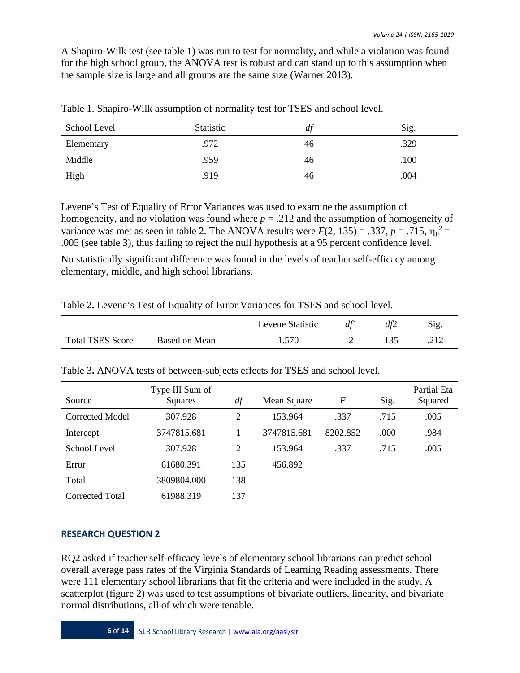A Shapiro-Wilk test (see table 1) was run to test for normality, and while a violation was found for the high school group, the ANOVA test is robust and can stand up to this assumption when the sample size is large and all groups are the same size (Warner 2013).

| School Level | <b>Statistic</b> | df | Sig. |
|--------------|------------------|----|------|
| Elementary   | .972             | 46 | .329 |
| Middle       | .959             | 46 | .100 |
| High         | .919             | 46 | .004 |

Table 1. Shapiro-Wilk assumption of normality test for TSES and school level.

Levene's Test of Equality of Error Variances was used to examine the assumption of homogeneity, and no violation was found where *p* = .212 and the assumption of homogeneity of variance was met as seen in table 2. The ANOVA results were  $F(2, 135) = .337$ ,  $p = .715$ ,  $\eta_p^2 =$ .005 (see table 3), thus failing to reject the null hypothesis at a 95 percent confidence level.

No statistically significant difference was found in the levels of teacher self-efficacy among elementary, middle, and high school librarians.

|                         |               | Levene Statistic | df1 | df2 | Sig |
|-------------------------|---------------|------------------|-----|-----|-----|
| <b>Total TSES Score</b> | Based on Mean | 570              |     |     |     |

Table 2**.** Levene's Test of Equality of Error Variances for TSES and school level.

| Table 3. ANOVA tests of between-subjects effects for TSES and school level. |  |
|-----------------------------------------------------------------------------|--|
|-----------------------------------------------------------------------------|--|

| Source          | Type III Sum of<br>Squares | df  | Mean Square | F        | Sig. | Partial Eta<br>Squared |
|-----------------|----------------------------|-----|-------------|----------|------|------------------------|
| Corrected Model | 307.928                    | 2   | 153.964     | .337     | .715 | .005                   |
| Intercept       | 3747815.681                |     | 3747815.681 | 8202.852 | .000 | .984                   |
| School Level    | 307.928                    | 2   | 153.964     | .337     | .715 | .005                   |
| Error           | 61680.391                  | 135 | 456.892     |          |      |                        |
| Total           | 3809804.000                | 138 |             |          |      |                        |
| Corrected Total | 61988.319                  | 137 |             |          |      |                        |

#### **RESEARCH QUESTION 2**

RQ2 asked if teacher self-efficacy levels of elementary school librarians can predict school overall average pass rates of the Virginia Standards of Learning Reading assessments. There were 111 elementary school librarians that fit the criteria and were included in the study. A scatterplot (figure 2) was used to test assumptions of bivariate outliers, linearity, and bivariate normal distributions, all of which were tenable.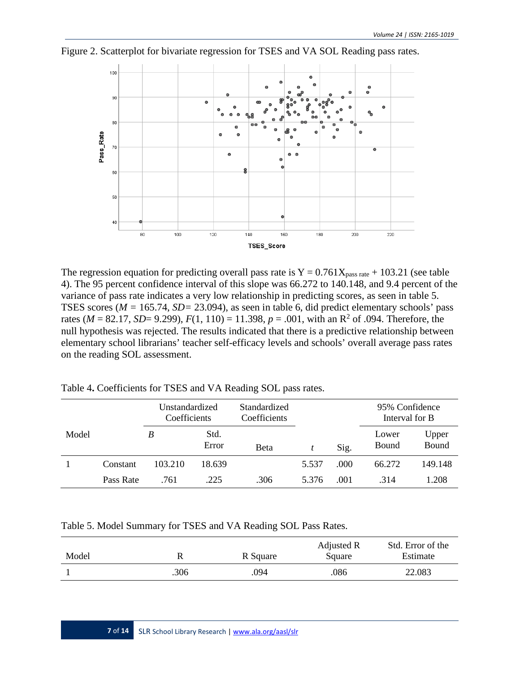

Figure 2. Scatterplot for bivariate regression for TSES and VA SOL Reading pass rates.

The regression equation for predicting overall pass rate is  $Y = 0.761X_{pass\ rate} + 103.21$  (see table 4). The 95 percent confidence interval of this slope was 66.272 to 140.148, and 9.4 percent of the variance of pass rate indicates a very low relationship in predicting scores, as seen in table 5. TSES scores (*M =* 165.74, *SD=* 23.094), as seen in table 6, did predict elementary schools' pass rates ( $M = 82.17$ ,  $SD = 9.299$ ),  $F(1, 110) = 11.398$ ,  $p = .001$ , with an R<sup>2</sup> of .094. Therefore, the null hypothesis was rejected. The results indicated that there is a predictive relationship between elementary school librarians' teacher self-efficacy levels and schools' overall average pass rates on the reading SOL assessment.

|       |           | Unstandardized<br>Coefficients |               | Standardized<br>Coefficients |       |      | 95% Confidence<br>Interval for B |                |
|-------|-----------|--------------------------------|---------------|------------------------------|-------|------|----------------------------------|----------------|
| Model |           | B                              | Std.<br>Error | Beta                         |       | Sig. | Lower<br>Bound                   | Upper<br>Bound |
|       | Constant  | 103.210                        | 18.639        |                              | 5.537 | .000 | 66.272                           | 149.148        |
|       | Pass Rate | .761                           | .225          | .306                         | 5.376 | .001 | .314                             | 1.208          |

Table 4**.** Coefficients for TSES and VA Reading SOL pass rates.

#### Table 5. Model Summary for TSES and VA Reading SOL Pass Rates.

| Model | R    | R Square | Adjusted R<br>Square | Std. Error of the<br>Estimate |
|-------|------|----------|----------------------|-------------------------------|
|       | .306 | 094      | .086                 | 22.083                        |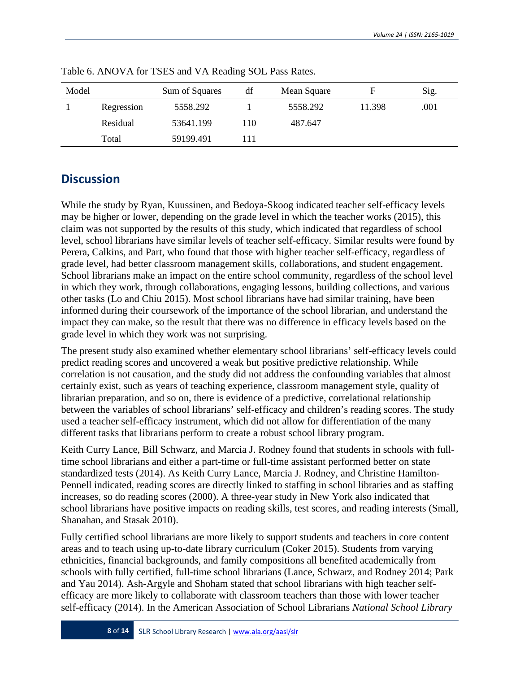| Model |            | Sum of Squares | df | Mean Square |        | Sig. |
|-------|------------|----------------|----|-------------|--------|------|
|       | Regression | 5558.292       |    | 5558.292    | 11.398 | .001 |
|       | Residual   | 53641.199      | 10 | 487.647     |        |      |
|       | Total      | 59199.491      | 11 |             |        |      |

Table 6. ANOVA for TSES and VA Reading SOL Pass Rates.

# **Discussion**

While the study by Ryan, Kuussinen, and Bedoya-Skoog indicated teacher self-efficacy levels may be higher or lower, depending on the grade level in which the teacher works (2015), this claim was not supported by the results of this study, which indicated that regardless of school level, school librarians have similar levels of teacher self-efficacy. Similar results were found by Perera, Calkins, and Part, who found that those with higher teacher self-efficacy, regardless of grade level, had better classroom management skills, collaborations, and student engagement. School librarians make an impact on the entire school community, regardless of the school level in which they work, through collaborations, engaging lessons, building collections, and various other tasks (Lo and Chiu 2015). Most school librarians have had similar training, have been informed during their coursework of the importance of the school librarian, and understand the impact they can make, so the result that there was no difference in efficacy levels based on the grade level in which they work was not surprising.

The present study also examined whether elementary school librarians' self-efficacy levels could predict reading scores and uncovered a weak but positive predictive relationship. While correlation is not causation, and the study did not address the confounding variables that almost certainly exist, such as years of teaching experience, classroom management style, quality of librarian preparation, and so on, there is evidence of a predictive, correlational relationship between the variables of school librarians' self-efficacy and children's reading scores. The study used a teacher self-efficacy instrument, which did not allow for differentiation of the many different tasks that librarians perform to create a robust school library program.

Keith Curry Lance, Bill Schwarz, and Marcia J. Rodney found that students in schools with fulltime school librarians and either a part-time or full-time assistant performed better on state standardized tests (2014). As Keith Curry Lance, Marcia J. Rodney, and Christine Hamilton-Pennell indicated, reading scores are directly linked to staffing in school libraries and as staffing increases, so do reading scores (2000). A three-year study in New York also indicated that school librarians have positive impacts on reading skills, test scores, and reading interests (Small, Shanahan, and Stasak 2010).

Fully certified school librarians are more likely to support students and teachers in core content areas and to teach using up-to-date library curriculum (Coker 2015). Students from varying ethnicities, financial backgrounds, and family compositions all benefited academically from schools with fully certified, full-time school librarians (Lance, Schwarz, and Rodney 2014; Park and Yau 2014). Ash-Argyle and Shoham stated that school librarians with high teacher selfefficacy are more likely to collaborate with classroom teachers than those with lower teacher self-efficacy (2014). In the American Association of School Librarians *National School Library*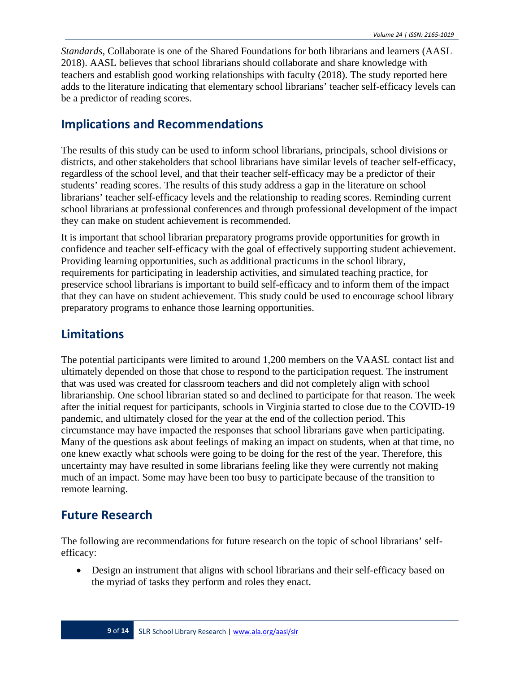*Standards*, Collaborate is one of the Shared Foundations for both librarians and learners (AASL 2018). AASL believes that school librarians should collaborate and share knowledge with teachers and establish good working relationships with faculty (2018). The study reported here adds to the literature indicating that elementary school librarians' teacher self-efficacy levels can be a predictor of reading scores.

## **Implications and Recommendations**

The results of this study can be used to inform school librarians, principals, school divisions or districts, and other stakeholders that school librarians have similar levels of teacher self-efficacy, regardless of the school level, and that their teacher self-efficacy may be a predictor of their students' reading scores. The results of this study address a gap in the literature on school librarians' teacher self-efficacy levels and the relationship to reading scores. Reminding current school librarians at professional conferences and through professional development of the impact they can make on student achievement is recommended.

It is important that school librarian preparatory programs provide opportunities for growth in confidence and teacher self-efficacy with the goal of effectively supporting student achievement. Providing learning opportunities, such as additional practicums in the school library, requirements for participating in leadership activities, and simulated teaching practice, for preservice school librarians is important to build self-efficacy and to inform them of the impact that they can have on student achievement. This study could be used to encourage school library preparatory programs to enhance those learning opportunities.

# **Limitations**

The potential participants were limited to around 1,200 members on the VAASL contact list and ultimately depended on those that chose to respond to the participation request. The instrument that was used was created for classroom teachers and did not completely align with school librarianship. One school librarian stated so and declined to participate for that reason. The week after the initial request for participants, schools in Virginia started to close due to the COVID-19 pandemic, and ultimately closed for the year at the end of the collection period. This circumstance may have impacted the responses that school librarians gave when participating. Many of the questions ask about feelings of making an impact on students, when at that time, no one knew exactly what schools were going to be doing for the rest of the year. Therefore, this uncertainty may have resulted in some librarians feeling like they were currently not making much of an impact. Some may have been too busy to participate because of the transition to remote learning.

# **Future Research**

The following are recommendations for future research on the topic of school librarians' selfefficacy:

• Design an instrument that aligns with school librarians and their self-efficacy based on the myriad of tasks they perform and roles they enact.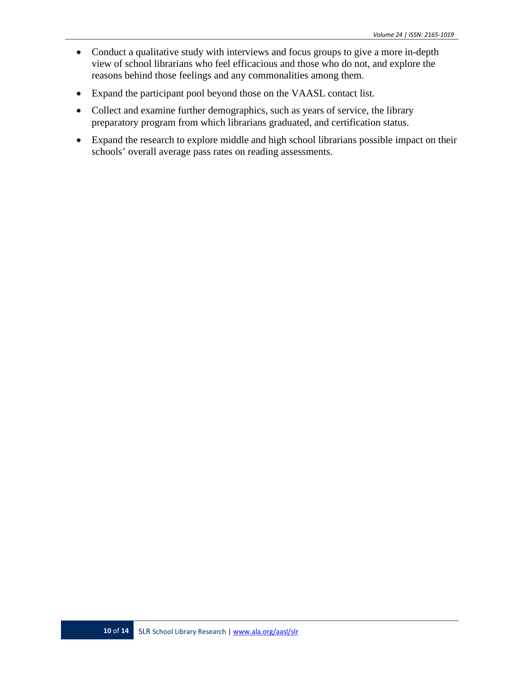- Conduct a qualitative study with interviews and focus groups to give a more in-depth view of school librarians who feel efficacious and those who do not, and explore the reasons behind those feelings and any commonalities among them.
- Expand the participant pool beyond those on the VAASL contact list.
- Collect and examine further demographics, such as years of service, the library preparatory program from which librarians graduated, and certification status.
- Expand the research to explore middle and high school librarians possible impact on their schools' overall average pass rates on reading assessments.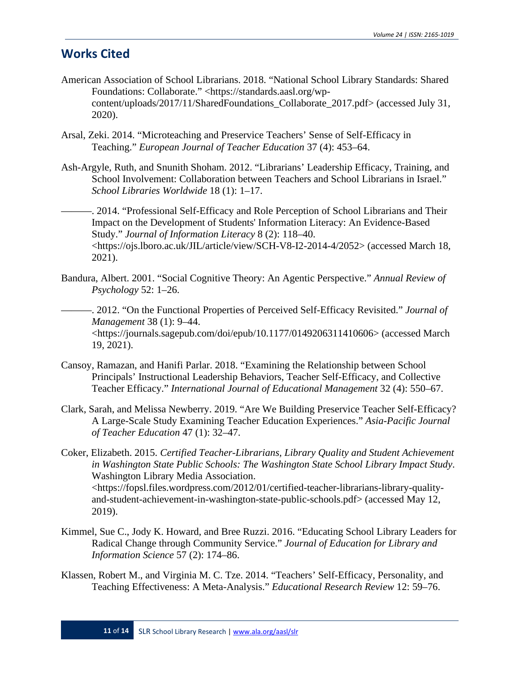## **Works Cited**

- American Association of School Librarians. 2018. "National School Library Standards: Shared Foundations: Collaborate." [<https://standards.aasl.org/wp](https://standards.aasl.org/wp-content/uploads/2017/11/SharedFoundations_Collaborate_2017.pdf)[content/uploads/2017/11/SharedFoundations\\_Collaborate\\_2017.pdf>](https://standards.aasl.org/wp-content/uploads/2017/11/SharedFoundations_Collaborate_2017.pdf) (accessed July 31, 2020).
- Arsal, Zeki. 2014. "Microteaching and Preservice Teachers' Sense of Self-Efficacy in Teaching." *European Journal of Teacher Education* 37 (4): 453–64.
- Ash-Argyle, Ruth, and Snunith Shoham. 2012. "Librarians' Leadership Efficacy, Training, and School Involvement: Collaboration between Teachers and School Librarians in Israel." *School Libraries Worldwide* 18 (1): 1–17.
- ———. 2014. "Professional Self-Efficacy and Role Perception of School Librarians and Their Impact on the Development of Students' Information Literacy: An Evidence-Based Study." *Journal of Information Literacy* 8 (2): 118–40. [<https://ojs.lboro.ac.uk/JIL/article/view/SCH-V8-I2-2014-4/2052>](https://ojs.lboro.ac.uk/JIL/article/view/SCH-V8-I2-2014-4/2052) (accessed March 18, 2021).
- Bandura, Albert. 2001. "Social Cognitive Theory: An Agentic Perspective." *Annual Review of Psychology* 52: 1–26.

———. 2012. "On the Functional Properties of Perceived Self-Efficacy Revisited." *Journal of Management* 38 (1): 9–44. [<https://journals.sagepub.com/doi/epub/10.1177/0149206311410606>](https://journals.sagepub.com/doi/epub/10.1177/0149206311410606) (accessed March 19, 2021).

- Cansoy, Ramazan, and Hanifi Parlar. 2018. "Examining the Relationship between School Principals' Instructional Leadership Behaviors, Teacher Self-Efficacy, and Collective Teacher Efficacy." *International Journal of Educational Management* 32 (4): 550–67.
- Clark, Sarah, and Melissa Newberry. 2019. "Are We Building Preservice Teacher Self-Efficacy? A Large-Scale Study Examining Teacher Education Experiences." *Asia-Pacific Journal of Teacher Education* 47 (1): 32–47.
- Coker, Elizabeth. 2015. *Certified Teacher-Librarians, Library Quality and Student Achievement in Washington State Public Schools: The Washington State School Library Impact Study*. Washington Library Media Association. [<https://fopsl.files.wordpress.com/2012/01/certified-teacher-librarians-library-quality](https://fopsl.files.wordpress.com/2012/01/certified-teacher-librarians-library-quality-and-student-achievement-in-washington-state-public-schools.pdf)[and-student-achievement-in-washington-state-public-schools.pdf>](https://fopsl.files.wordpress.com/2012/01/certified-teacher-librarians-library-quality-and-student-achievement-in-washington-state-public-schools.pdf) (accessed May 12, 2019).
- Kimmel, Sue C., Jody K. Howard, and Bree Ruzzi. 2016. "Educating School Library Leaders for Radical Change through Community Service." *Journal of Education for Library and Information Science* 57 (2): 174–86.
- Klassen, Robert M., and Virginia M. C. Tze. 2014. "Teachers' Self-Efficacy, Personality, and Teaching Effectiveness: A Meta-Analysis." *Educational Research Review* 12: 59–76.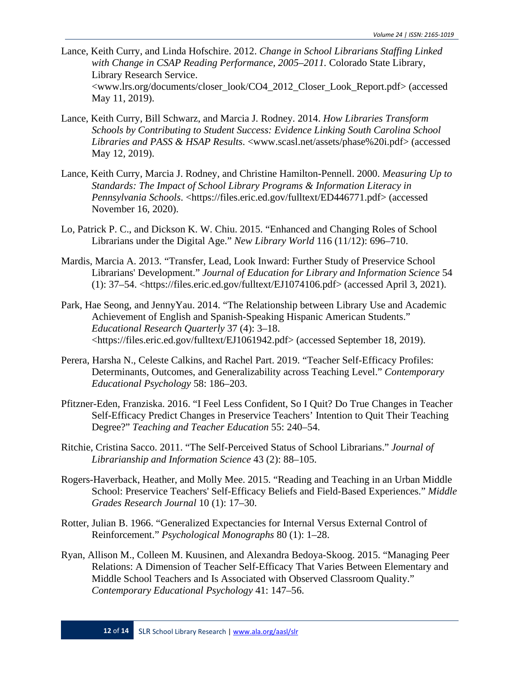- Lance, Keith Curry, and Linda Hofschire. 2012. *Change in School Librarians Staffing Linked with Change in CSAP Reading Performance, 2005–2011.* Colorado State Library, Library Research Service. [<www.lrs.org/documents/closer\\_look/CO4\\_2012\\_Closer\\_Look\\_Report.pdf>](https://www.lrs.org/documents/closer_look/CO4_2012_Closer_Look_Report.pdf) (accessed May 11, 2019).
- Lance, Keith Curry, Bill Schwarz, and Marcia J. Rodney. 2014. *How Libraries Transform Schools by Contributing to Student Success: Evidence Linking South Carolina School Libraries and PASS & HSAP Results*. [<www.scasl.net/assets/phase%20i.pdf>](https://www.scasl.net/assets/phase%20i.pdf) (accessed May 12, 2019).
- Lance, Keith Curry, Marcia J. Rodney, and Christine Hamilton-Pennell. 2000. *Measuring Up to Standards: The Impact of School Library Programs & Information Literacy in Pennsylvania Schools.* [<https://files.eric.ed.gov/fulltext/ED446771.pdf>](https://files.eric.ed.gov/fulltext/ED446771.pdf) (accessed November 16, 2020).
- Lo, Patrick P. C., and Dickson K. W. Chiu. 2015. "Enhanced and Changing Roles of School Librarians under the Digital Age." *New Library World* 116 (11/12): 696–710.
- Mardis, Marcia A. 2013. "Transfer, Lead, Look Inward: Further Study of Preservice School Librarians' Development." *Journal of Education for Library and Information Science* 54 (1): 37–54. [<https://files.eric.ed.gov/fulltext/EJ1074106.pdf>](https://files.eric.ed.gov/fulltext/EJ1074106.pdf) (accessed April 3, 2021).
- Park, Hae Seong, and JennyYau. 2014. "The Relationship between Library Use and Academic Achievement of English and Spanish-Speaking Hispanic American Students." *Educational Research Quarterly* 37 (4): 3–18. [<https://files.eric.ed.gov/fulltext/EJ1061942.pdf>](https://files.eric.ed.gov/fulltext/EJ1061942.pdf) (accessed September 18, 2019).
- Perera, Harsha N., Celeste Calkins, and Rachel Part. 2019. "Teacher Self-Efficacy Profiles: Determinants, Outcomes, and Generalizability across Teaching Level." *Contemporary Educational Psychology* 58: 186–203.
- Pfitzner-Eden, Franziska. 2016. "I Feel Less Confident, So I Quit? Do True Changes in Teacher Self-Efficacy Predict Changes in Preservice Teachers' Intention to Quit Their Teaching Degree?" *Teaching and Teacher Education* 55: 240–54.
- Ritchie, Cristina Sacco. 2011. "The Self-Perceived Status of School Librarians." *Journal of Librarianship and Information Science* 43 (2): 88–105.
- Rogers-Haverback, Heather, and Molly Mee. 2015. "Reading and Teaching in an Urban Middle School: Preservice Teachers' Self-Efficacy Beliefs and Field-Based Experiences." *Middle Grades Research Journal* 10 (1): 17–30.
- Rotter, Julian B. 1966. "Generalized Expectancies for Internal Versus External Control of Reinforcement." *Psychological Monographs* 80 (1): 1–28.
- Ryan, Allison M., Colleen M. Kuusinen, and Alexandra Bedoya-Skoog. 2015. "Managing Peer Relations: A Dimension of Teacher Self-Efficacy That Varies Between Elementary and Middle School Teachers and Is Associated with Observed Classroom Quality." *Contemporary Educational Psychology* 41: 147–56.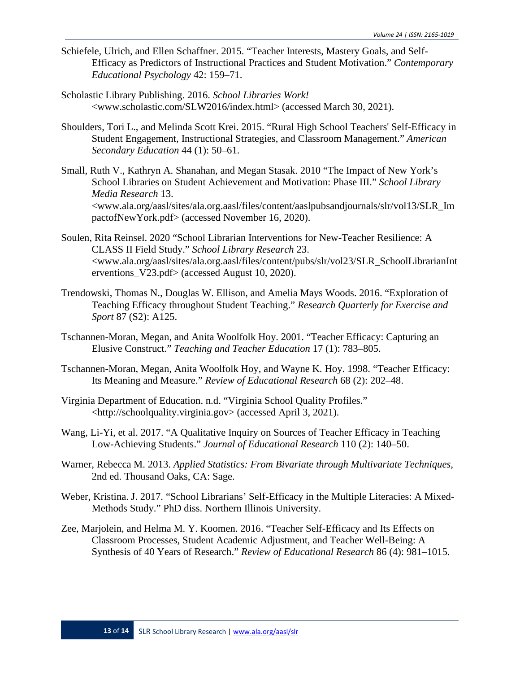- Schiefele, Ulrich, and Ellen Schaffner. 2015. "Teacher Interests, Mastery Goals, and Self-Efficacy as Predictors of Instructional Practices and Student Motivation." *Contemporary Educational Psychology* 42: 159–71.
- Scholastic Library Publishing. 2016. *School Libraries Work!* [<www.scholastic.com/SLW2016/index.html>](https://www.scholastic.com/SLW2016/index.html) (accessed March 30, 2021).
- Shoulders, Tori L., and Melinda Scott Krei. 2015. "Rural High School Teachers' Self-Efficacy in Student Engagement, Instructional Strategies, and Classroom Management." *American Secondary Education* 44 (1): 50–61.
- Small, Ruth V., Kathryn A. Shanahan, and Megan Stasak. 2010 "The Impact of New York's School Libraries on Student Achievement and Motivation: Phase III." *School Library Media Research* 13. [<www.ala.org/aasl/sites/ala.org.aasl/files/content/aaslpubsandjournals/slr/vol13/SLR\\_Im](http://www.ala.org/aasl/sites/ala.org.aasl/files/content/aaslpubsandjournals/slr/vol13/SLR_ImpactofNewYork.pdf) [pactofNewYork.pdf>](http://www.ala.org/aasl/sites/ala.org.aasl/files/content/aaslpubsandjournals/slr/vol13/SLR_ImpactofNewYork.pdf) (accessed November 16, 2020).
- Soulen, Rita Reinsel. 2020 "School Librarian Interventions for New-Teacher Resilience: A CLASS II Field Study." *School Library Research* 23. [<www.ala.org/aasl/sites/ala.org.aasl/files/content/pubs/slr/vol23/SLR\\_SchoolLibrarianInt](http://www.ala.org/aasl/sites/ala.org.aasl/files/content/pubs/slr/vol23/SLR_SchoolLibrarianInterventions_V23.pdf) erventions  $V23.$ pdf $>$  (accessed August 10, 2020).
- Trendowski, Thomas N., Douglas W. Ellison, and Amelia Mays Woods. 2016. "Exploration of Teaching Efficacy throughout Student Teaching." *Research Quarterly for Exercise and Sport* 87 (S2): A125.
- Tschannen-Moran, Megan, and Anita Woolfolk Hoy. 2001. "Teacher Efficacy: Capturing an Elusive Construct." *Teaching and Teacher Education* 17 (1): 783–805.
- Tschannen-Moran, Megan, Anita Woolfolk Hoy, and Wayne K. Hoy. 1998. "Teacher Efficacy: Its Meaning and Measure." *Review of Educational Research* 68 (2): 202–48.
- Virginia Department of Education. n.d. "Virginia School Quality Profiles." [<http://schoolquality.virginia.gov>](http://schoolquality.virginia.gov/) (accessed April 3, 2021).
- Wang, Li-Yi, et al. 2017. "A Qualitative Inquiry on Sources of Teacher Efficacy in Teaching Low-Achieving Students." *Journal of Educational Research* 110 (2): 140–50.
- Warner, Rebecca M. 2013. *Applied Statistics: From Bivariate through Multivariate Techniques*, 2nd ed. Thousand Oaks, CA: Sage.
- Weber, Kristina. J. 2017. "School Librarians' Self-Efficacy in the Multiple Literacies: A Mixed-Methods Study." PhD diss. Northern Illinois University.
- Zee, Marjolein, and Helma M. Y. Koomen. 2016. "Teacher Self-Efficacy and Its Effects on Classroom Processes, Student Academic Adjustment, and Teacher Well-Being: A Synthesis of 40 Years of Research." *Review of Educational Research* 86 (4): 981–1015.